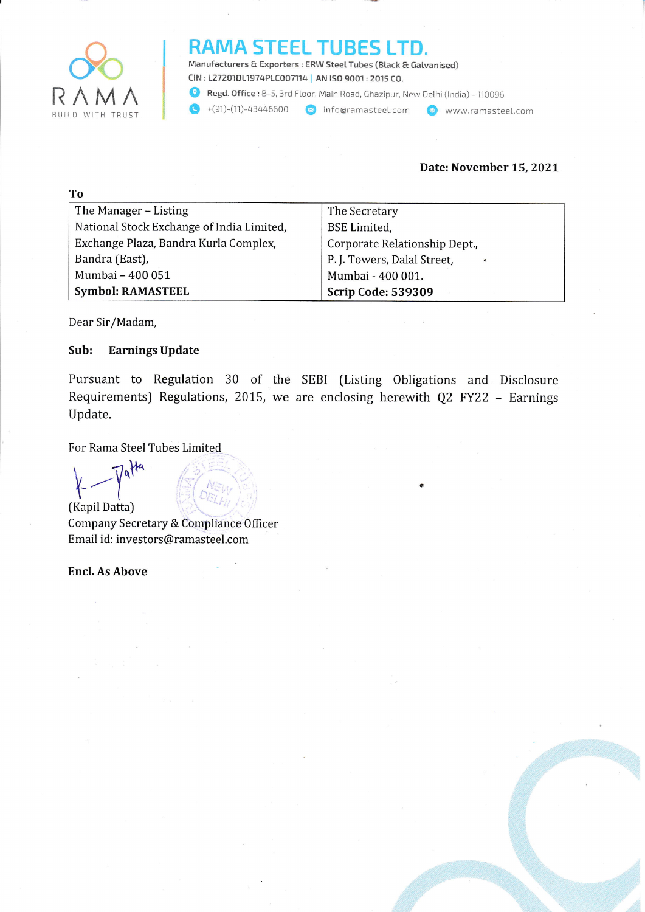

m.

#### RAMA STEEL TUBES LTD.

Manufacturers & Exporters : ERW Steel Tubes (Black & Galvanised) ctN : 127201D11974p1C007114 | AN tSO 9001 :2015 CO. **Q** Regd. Office : B-5, 3rd Floor, Main Road, Ghazipur, New Delhi (India) - 110096

 $\bigodot$  +(91)-(11)-43446600  $\bigodot$  infoeramasteel.com  $\bigodot$  www.ramasteel.com

#### Date: November 15,202L

| 1 O                                       |                                          |
|-------------------------------------------|------------------------------------------|
| The Manager – Listing                     | The Secretary                            |
| National Stock Exchange of India Limited, | <b>BSE</b> Limited,                      |
| Exchange Plaza, Bandra Kurla Complex,     | Corporate Relationship Dept.,            |
| Bandra (East),                            | P. J. Towers, Dalal Street,<br>$\bullet$ |
| Mumbai - 400 051                          | Mumbai - 400 001.                        |
| <b>Symbol: RAMASTEEL</b>                  | <b>Scrip Code: 539309</b>                |

Dear Sir/Madam,

#### Sub: Earnings Update

Pursuant to Regulation 30 of the SEBI (Listing Obligations and Disclosure Requirements) Regulations, 2015, we are enclosing herewith Q2 FY22 - Earnings Update.

For Rama Steel Tubes Limited

 $\lambda$   $\frac{1}{\sqrt{\det A}}$   $\left(\begin{matrix} \frac{1}{\sqrt{2}} & \frac{1}{\sqrt{2}} \\ \frac{1}{\sqrt{2}} & \frac{1}{\sqrt{2}} \end{matrix}\right)$ [Kapil Datta)

Company Secretary & Compliance 0fficer Email id: investors@ramasteel.com

Encl. As Above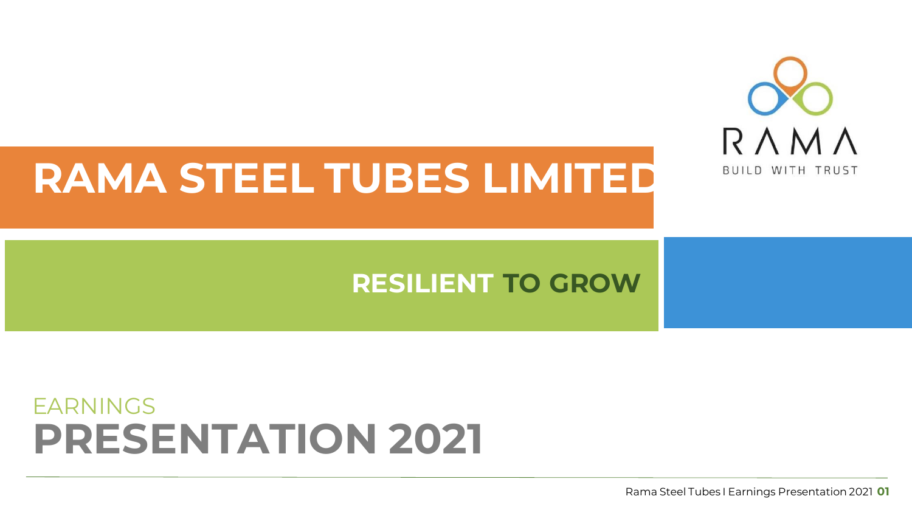

# **RAMA STEEL TUBES LIMITED**

#### **RESILIENT TO GROW**

#### **PRESENTATION 2021** EARNINGS

Rama Steel Tubes I Earnings Presentation 2021 **01**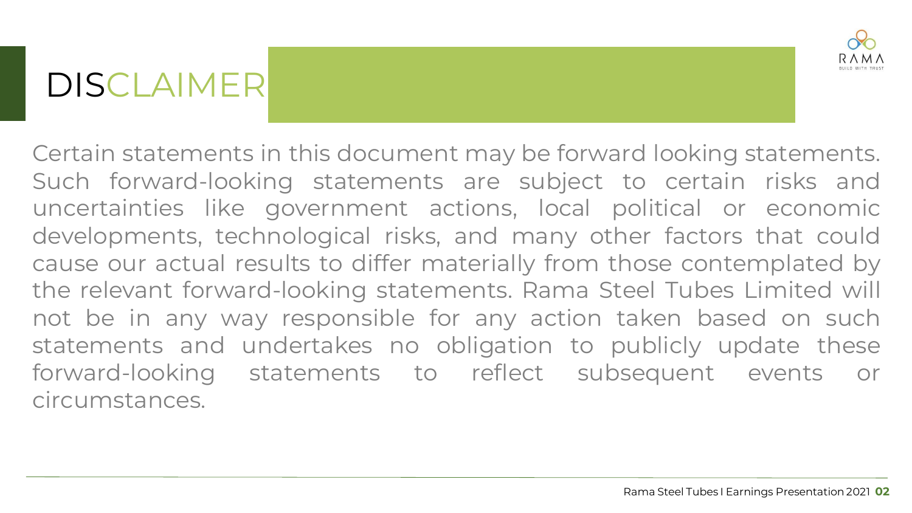### DISCLAIMER



Certain statements in this document may be forward looking statements. Such forward-looking statements are subject to certain risks and uncertainties like government actions, local political or economic developments, technological risks, and many other factors that could cause our actual results to differ materially from those contemplated by the relevant forward-looking statements. Rama Steel Tubes Limited will not be in any way responsible for any action taken based on such statements and undertakes no obligation to publicly update these forward-looking statements to reflect subsequent events or circumstances.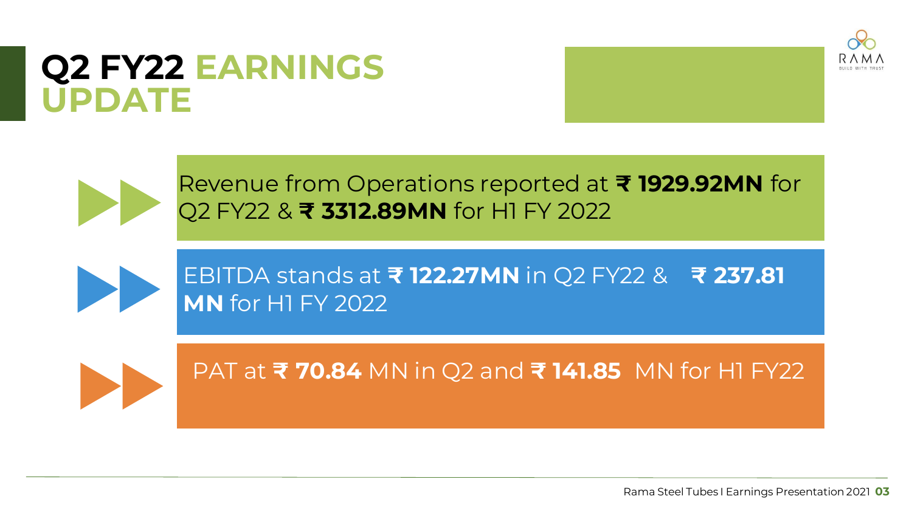#### **Q2 FY22 EARNINGS UPDATE**





Revenue from Operations reported at **₹ 1929.92MN** for Q2 FY22 & **₹ 3312.89MN** for H1 FY 2022



EBITDA stands at **₹ 122.27MN** in Q2 FY22 & **₹ 237.81 MN** for H1 FY 2022



PAT at **₹ 70.84** MN in Q2 and **₹ 141.85** MN for H1 FY22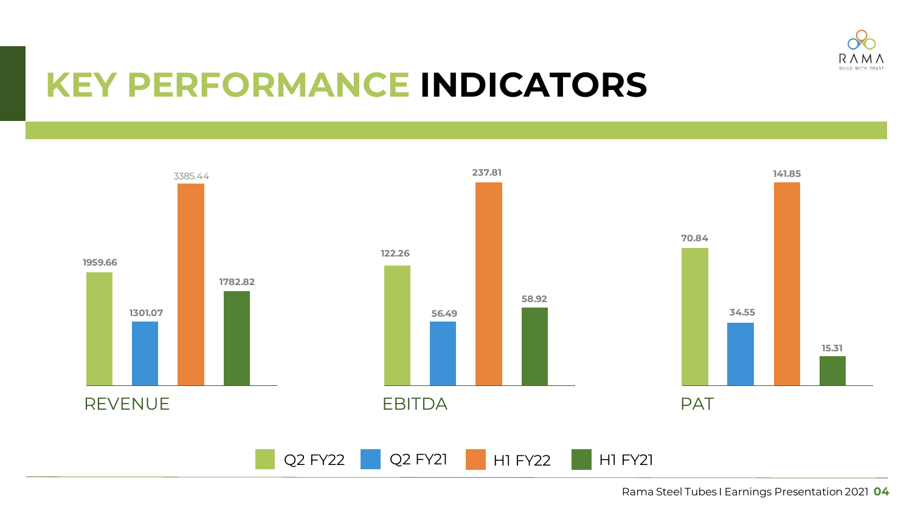

#### **KEY PERFORMANCE INDICATORS**

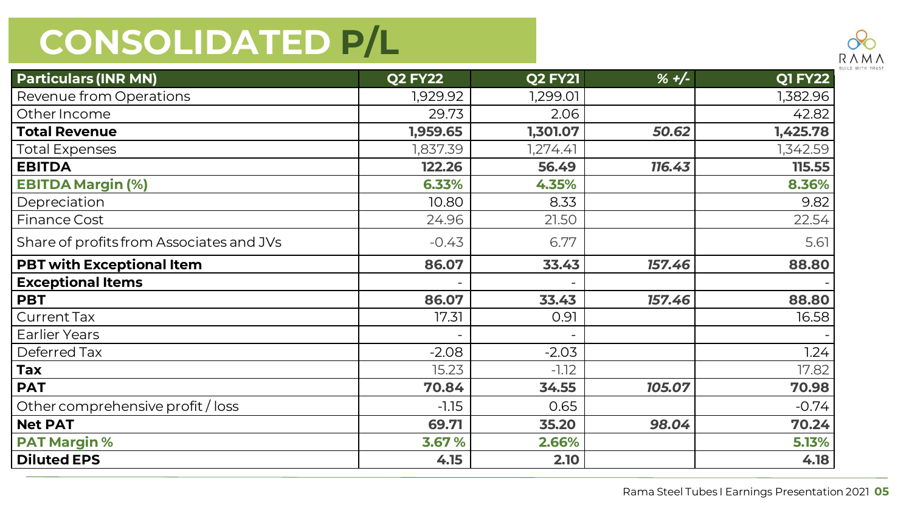

| <b>Particulars (INR MN)</b>              | <b>Q2 FY22</b> | <b>Q2 FY21</b> | $% +/-$ | <b>Q1 FY22</b> |
|------------------------------------------|----------------|----------------|---------|----------------|
| Revenue from Operations                  | 1,929.92       | 1,299.01       |         | 1,382.96       |
| Other Income                             | 29.73          | 2.06           |         | 42.82          |
| <b>Total Revenue</b>                     | 1,959.65       | 1,301.07       | 50.62   | 1,425.78       |
| <b>Total Expenses</b>                    | 1,837.39       | 1,274.41       |         | 1,342.59       |
| <b>EBITDA</b>                            | 122.26         | 56.49          | 116.43  | 115.55         |
| <b>EBITDA Margin (%)</b>                 | 6.33%          | 4.35%          |         | 8.36%          |
| Depreciation                             | 10.80          | 8.33           |         | 9.82           |
| <b>Finance Cost</b>                      | 24.96          | 21.50          |         | 22.54          |
| Share of profits from Associates and JVs | $-0.43$        | 6.77           |         | 5.61           |
| <b>PBT with Exceptional Item</b>         | 86.07          | 33.43          | 157.46  | 88.80          |
| <b>Exceptional Items</b>                 |                |                |         |                |
| <b>PBT</b>                               | 86.07          | 33.43          | 157.46  | 88.80          |
| <b>Current Tax</b>                       | 17.31          | 0.91           |         | 16.58          |
| <b>Earlier Years</b>                     |                |                |         |                |
| Deferred Tax                             | $-2.08$        | $-2.03$        |         | 1.24           |
| Tax                                      | 15.23          | $-1.12$        |         | 17.82          |
| <b>PAT</b>                               | 70.84          | 34.55          | 105.07  | 70.98          |
| Other comprehensive profit / loss        | $-1.15$        | 0.65           |         | $-0.74$        |
| <b>Net PAT</b>                           | 69.71          | 35.20          | 98.04   | 70.24          |
| <b>PAT Margin %</b>                      | 3.67 %         | 2.66%          |         | 5.13%          |
| <b>Diluted EPS</b>                       | 4.15           | 2.10           |         | 4.18           |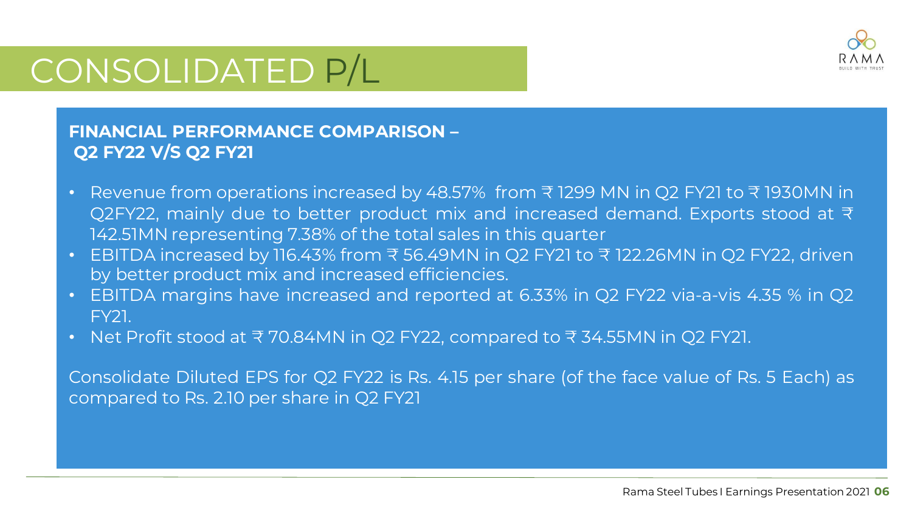

#### **FINANCIAL PERFORMANCE COMPARISON – Q2 FY22 V/S Q2 FY21**

- Revenue from operations increased by 48.57% from ₹ 1299 MN in Q2 FY21 to ₹ 1930MN in Q2FY22, mainly due to better product mix and increased demand. Exports stood at ₹ 142.51MN representing 7.38% of the total sales in this quarter
- EBITDA increased by 116.43% from ₹ 56.49MN in Q2 FY21 to ₹ 122.26MN in Q2 FY22, driven by better product mix and increased efficiencies.
- EBITDA margins have increased and reported at 6.33% in Q2 FY22 via-a-vis 4.35 % in Q2 FY21.
- Net Profit stood at ₹ 70.84MN in Q2 FY22, compared to ₹ 34.55MN in Q2 FY21.

Consolidate Diluted EPS for Q2 FY22 is Rs. 4.15 per share (of the face value of Rs. 5 Each) as compared to Rs. 2.10 per share in Q2 FY21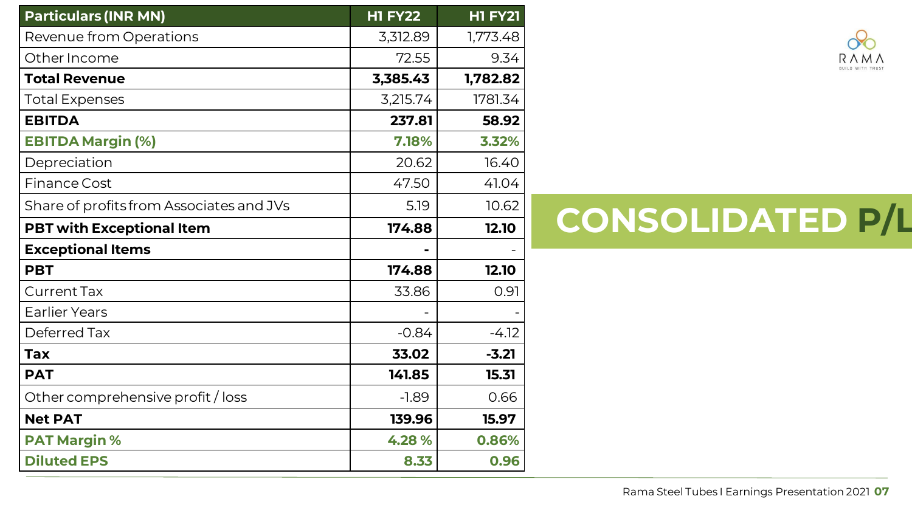| <b>Particulars (INR MN)</b>              | <b>H1 FY22</b> | <b>H1 FY21</b> |
|------------------------------------------|----------------|----------------|
| Revenue from Operations                  | 3,312.89       | 1,773.48       |
| Other Income                             | 72.55          | 9.34           |
| <b>Total Revenue</b>                     | 3,385.43       | 1,782.82       |
| <b>Total Expenses</b>                    | 3,215.74       | 1781.34        |
| <b>EBITDA</b>                            | 237.81         | 58.92          |
| <b>EBITDA Margin (%)</b>                 | 7.18%          | 3.32%          |
| Depreciation                             | 20.62          | 16.40          |
| <b>Finance Cost</b>                      | 47.50          | 41.04          |
| Share of profits from Associates and JVs | 5.19           | 10.62          |
| <b>PBT with Exceptional Item</b>         | 174.88         | 12.10          |
| <b>Exceptional Items</b>                 |                |                |
| <b>PBT</b>                               | 174.88         | 12.10          |
| <b>Current Tax</b>                       | 33.86          | 0.91           |
| <b>Earlier Years</b>                     |                |                |
| Deferred Tax                             | $-0.84$        | $-4.12$        |
| <b>Tax</b>                               | 33.02          | $-3.21$        |
| <b>PAT</b>                               | 141.85         | 15.31          |
| Other comprehensive profit / loss        | $-1.89$        | 0.66           |
| <b>Net PAT</b>                           | 139.96         | 15.97          |
| <b>PAT Margin %</b>                      | 4.28%          | 0.86%          |
| <b>Diluted EPS</b>                       | 8.33           | 0.96           |

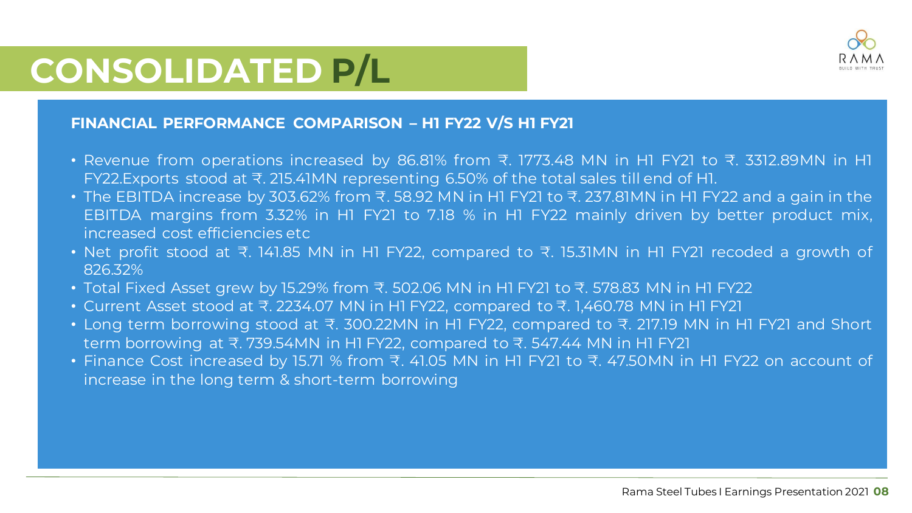

#### **FINANCIAL PERFORMANCE COMPARISON – H1 FY22 V/S H1 FY21**

- Revenue from operations increased by 86.81% from ₹. 1773.48 MN in H1 FY21 to ₹. 3312.89MN in H1 FY22.Exports stood at ₹. 215.41MN representing 6.50% of the total sales till end of H1.
- The EBITDA increase by 303.62% from ₹. 58.92 MN in H1 FY21 to ₹. 237.81MN in H1 FY22 and a gain in the EBITDA margins from 3.32% in H1 FY21 to 7.18 % in H1 FY22 mainly driven by better product mix, increased cost efficiencies etc
- Net profit stood at ₹. 141.85 MN in H1 FY22, compared to ₹. 15.31MN in H1 FY21 recoded a growth of 826.32%
- Total Fixed Asset grew by 15.29% from ₹. 502.06 MN in H1 FY21 to ₹. 578.83 MN in H1 FY22
- Current Asset stood at ₹. 2234.07 MN in H1 FY22, compared to ₹. 1,460.78 MN in H1 FY21
- Long term borrowing stood at ₹. 300.22MN in H1 FY22, compared to ₹. 217.19 MN in H1 FY21 and Short term borrowing at ₹. 739.54MN in H1 FY22, compared to ₹. 547.44 MN in H1 FY21
- Finance Cost increased by 15.71 % from ₹. 41.05 MN in H1 FY21 to ₹. 47.50MN in H1 FY22 on account of increase in the long term & short-term borrowing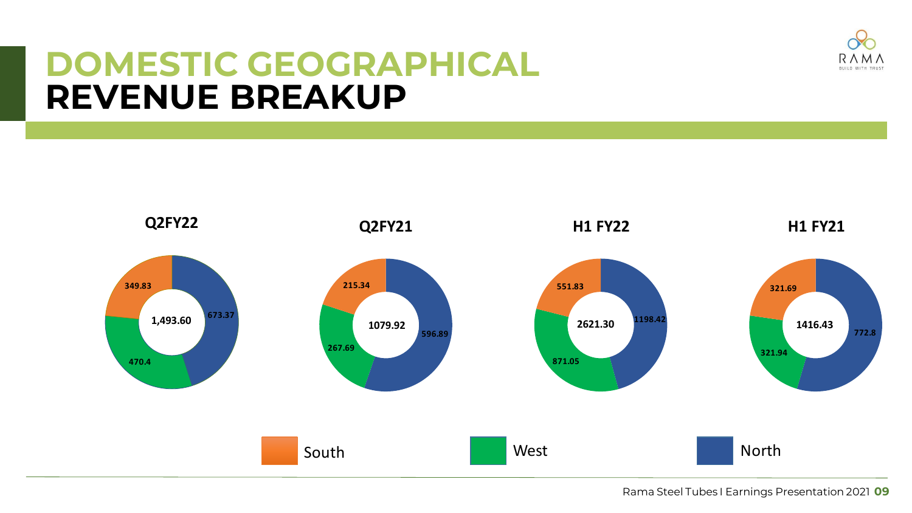

#### **DOMESTIC GEOGRAPHICAL REVENUE BREAKUP**

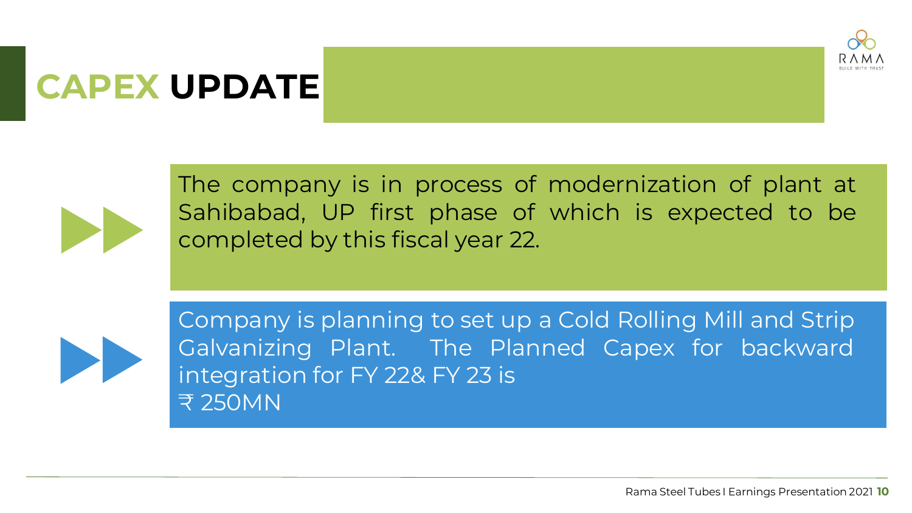

## **CAPEX UPDATE**



The company is in process of modernization of plant at Sahibabad, UP first phase of which is expected to be completed by this fiscal year 22.



Company is planning to set up a Cold Rolling Mill and Strip Galvanizing Plant. The Planned Capex for backward integration for FY 22& FY 23 is ₹ 250MN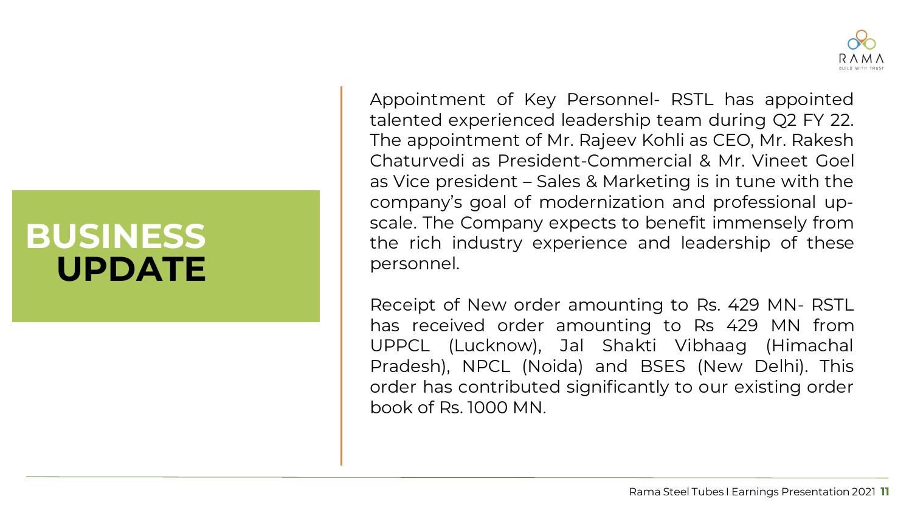#### **BUSINESS UPDATE**

Appointment of Key Personnel- RSTL has appointed talented experienced leadership team during Q2 FY 22. The appointment of Mr. Rajeev Kohli as CEO, Mr. Rakesh Chaturvedi as President-Commercial & Mr. Vineet Goel as Vice president – Sales & Marketing is in tune with the company's goal of modernization and professional upscale. The Company expects to benefit immensely from the rich industry experience and leadership of these personnel.

Receipt of New order amounting to Rs. 429 MN- RSTL has received order amounting to Rs 429 MN from UPPCL (Lucknow), Jal Shakti Vibhaag (Himachal Pradesh), NPCL (Noida) and BSES (New Delhi). This order has contributed significantly to our existing order book of Rs. 1000 MN.



**5**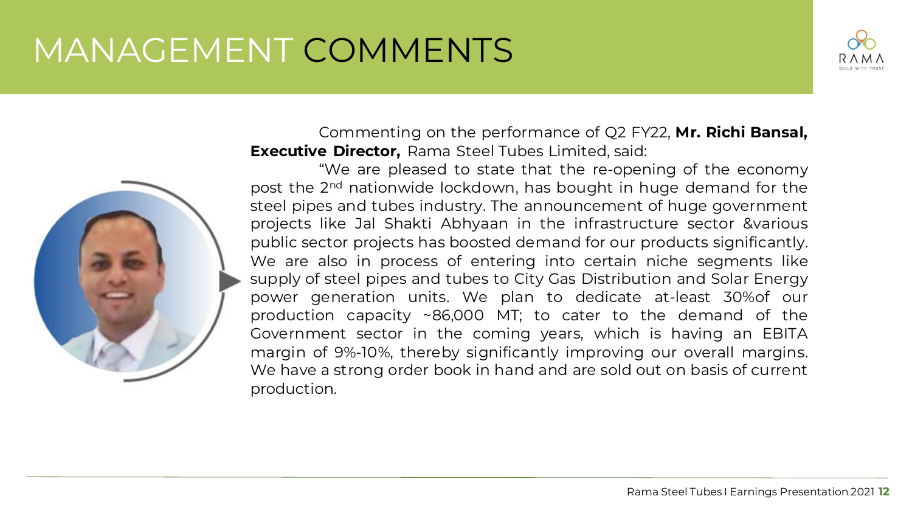### MANAGEMENT COMMENTS



Commenting on the performance of Q2 FY22, **Mr. Richi Bansal, Executive Director,** Rama Steel Tubes Limited, said:

"We are pleased to state that the re-opening of the economy post the 2<sup>nd</sup> nationwide lockdown, has bought in huge demand for the steel pipes and tubes industry. The announcement of huge government projects like Jal Shakti Abhyaan in the infrastructure sector &various public sector projects has boosted demand for our products significantly. We are also in process of entering into certain niche segments like supply of steel pipes and tubes to City Gas Distribution and Solar Energy power generation units. We plan to dedicate at-least 30%of our production capacity ~86,000 MT; to cater to the demand of the Government sector in the coming years, which is having an EBITA margin of 9%-10%, thereby significantly improving our overall margins. We have a strong order book in hand and are sold out on basis of current production.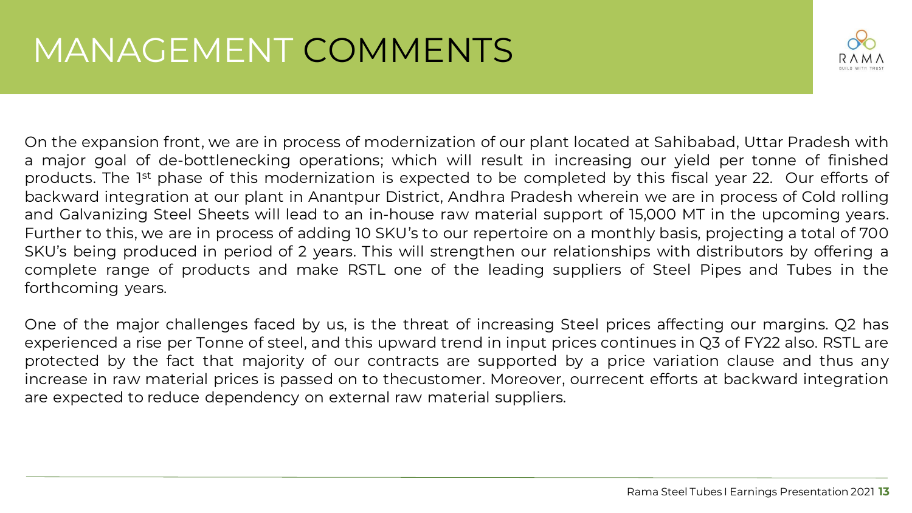

On the expansion front, we are in process of modernization of our plant located at Sahibabad, Uttar Pradesh with a major goal of de-bottlenecking operations; which will result in increasing our yield per tonne of finished products. The 1<sup>st</sup> phase of this modernization is expected to be completed by this fiscal year 22. Our efforts of backward integration at our plant in Anantpur District, Andhra Pradesh wherein we are in process of Cold rolling and Galvanizing Steel Sheets will lead to an in-house raw material support of 15,000 MT in the upcoming years. Further to this, we are in process of adding 10 SKU's to our repertoire on a monthly basis, projecting a total of 700 SKU's being produced in period of 2 years. This will strengthen our relationships with distributors by offering a complete range of products and make RSTL one of the leading suppliers of Steel Pipes and Tubes in the forthcoming years.

One of the major challenges faced by us, is the threat of increasing Steel prices affecting our margins. Q2 has experienced a rise per Tonne of steel, and this upward trend in input prices continues in Q3 of FY22 also. RSTL are protected by the fact that majority of our contracts are supported by a price variation clause and thus any increase in raw material prices is passed on to thecustomer. Moreover, ourrecent efforts at backward integration are expected to reduce dependency on external raw material suppliers.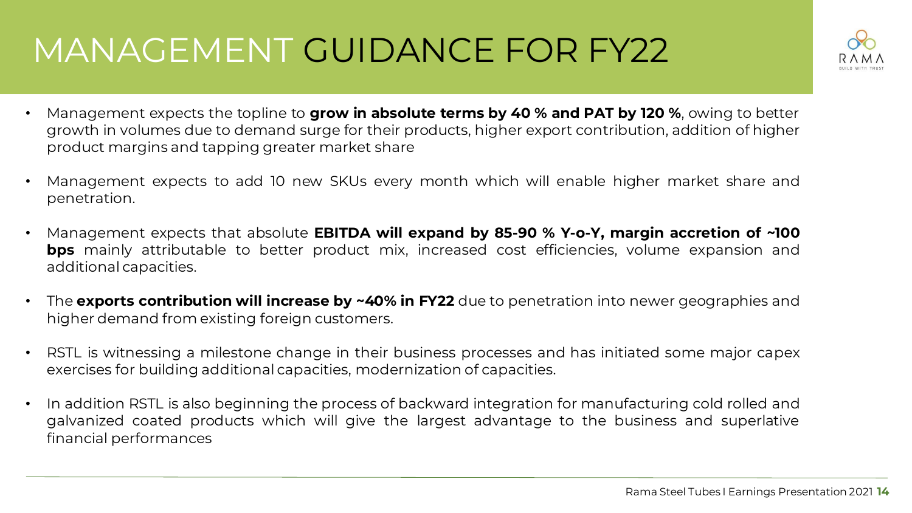## MANAGEMENT GUIDANCE FOR FY22

- 
- Management expects the topline to **grow in absolute terms by 40 % and PAT by 120 %**, owing to better growth in volumes due to demand surge for their products, higher export contribution, addition of higher product margins and tapping greater market share
- Management expects to add 10 new SKUs every month which will enable higher market share and penetration.
- Management expects that absolute **EBITDA will expand by 85-90 % Y-o-Y, margin accretion of ~100 bps** mainly attributable to better product mix, increased cost efficiencies, volume expansion and additional capacities.
- The **exports contribution will increase by ~40% in FY22** due to penetration into newer geographies and higher demand from existing foreign customers.
- RSTL is witnessing a milestone change in their business processes and has initiated some major capex exercises for building additional capacities, modernization of capacities.
- In addition RSTL is also beginning the process of backward integration for manufacturing cold rolled and galvanized coated products which will give the largest advantage to the business and superlative financial performances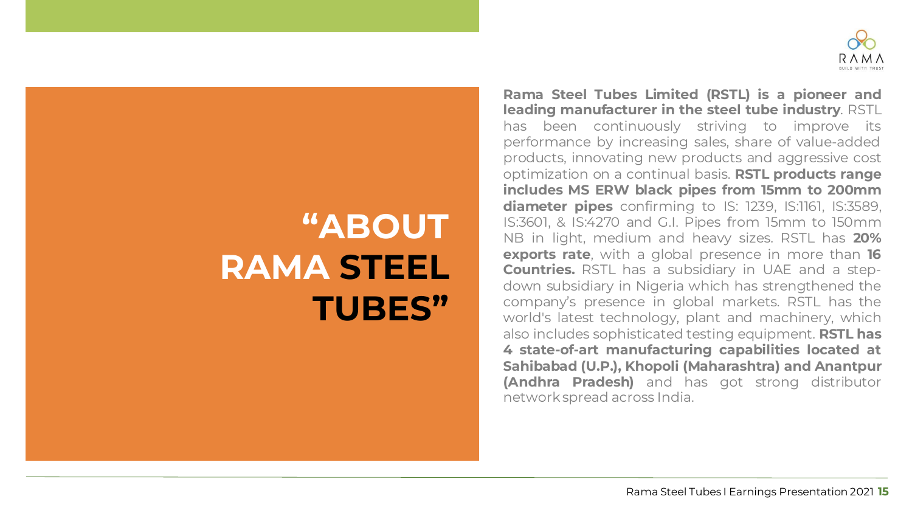

**11**

### **"ABOUT RAMA STEEL TUBES"**

**Rama Steel Tubes Limited (RSTL) is a pioneer and leading manufacturer in the steel tube industry**. RSTL has been continuously striving to improve its performance by increasing sales, share of value-added products, innovating new products and aggressive cost optimization on a continual basis. **RSTL products range includes MS ERW black pipes from 15mm to 200mm diameter pipes** confirming to IS: 1239, IS:1161, IS:3589, IS:3601, & IS:4270 and G.I. Pipes from 15mm to 150mm NB in light, medium and heavy sizes. RSTL has **20% exports rate**, with a global presence in more than **16 Countries.** RSTL has a subsidiary in UAE and a stepdown subsidiary in Nigeria which has strengthened the company's presence in global markets. RSTL has the world's latest technology, plant and machinery, which also includes sophisticated testing equipment. **RSTL has 4 state-of-art manufacturing capabilities located at Sahibabad (U.P.), Khopoli (Maharashtra) and Anantpur (Andhra Pradesh)** and has got strong distributor networkspread across India.